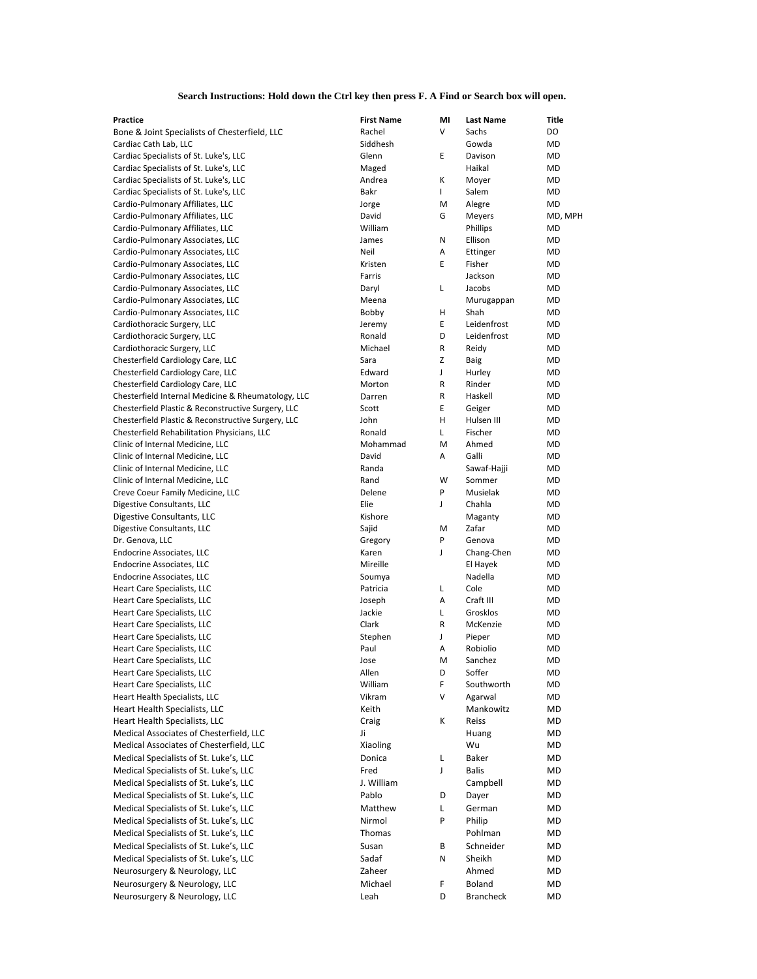| <b>Practice</b>                                    | <b>First Name</b> | ΜI           | <b>Last Name</b> | <b>Title</b> |
|----------------------------------------------------|-------------------|--------------|------------------|--------------|
| Bone & Joint Specialists of Chesterfield, LLC      | Rachel            | V            | Sachs            | DO           |
| Cardiac Cath Lab, LLC                              | Siddhesh          |              | Gowda            | <b>MD</b>    |
| Cardiac Specialists of St. Luke's, LLC             | Glenn             | E            | Davison          | <b>MD</b>    |
| Cardiac Specialists of St. Luke's, LLC             | Maged             |              | Haikal           | <b>MD</b>    |
| Cardiac Specialists of St. Luke's, LLC             | Andrea            | К            | Moyer            | <b>MD</b>    |
| Cardiac Specialists of St. Luke's, LLC             | Bakr              | L            | Salem            | <b>MD</b>    |
| Cardio-Pulmonary Affiliates, LLC                   | Jorge             | M            | Alegre           | <b>MD</b>    |
| Cardio-Pulmonary Affiliates, LLC                   | David             | G            | Meyers           | MD, MPH      |
| Cardio-Pulmonary Affiliates, LLC                   | William           |              | Phillips         | <b>MD</b>    |
| Cardio-Pulmonary Associates, LLC                   | James             | ${\sf N}$    | Ellison          | <b>MD</b>    |
| Cardio-Pulmonary Associates, LLC                   | Neil              | Α            | Ettinger         | <b>MD</b>    |
| Cardio-Pulmonary Associates, LLC                   | Kristen           | E            | Fisher           | <b>MD</b>    |
| Cardio-Pulmonary Associates, LLC                   | Farris            |              | Jackson          | <b>MD</b>    |
| Cardio-Pulmonary Associates, LLC                   | Daryl             | L            | Jacobs           | <b>MD</b>    |
| Cardio-Pulmonary Associates, LLC                   | Meena             |              | Murugappan       | <b>MD</b>    |
| Cardio-Pulmonary Associates, LLC                   | Bobby             | H            | Shah             | <b>MD</b>    |
| Cardiothoracic Surgery, LLC                        | Jeremy            | E            | Leidenfrost      | <b>MD</b>    |
| Cardiothoracic Surgery, LLC                        | Ronald            | D            | Leidenfrost      | <b>MD</b>    |
| Cardiothoracic Surgery, LLC                        | Michael           | R            | Reidy            | <b>MD</b>    |
| Chesterfield Cardiology Care, LLC                  | Sara              | $\mathsf{Z}$ | <b>Baig</b>      | <b>MD</b>    |
| Chesterfield Cardiology Care, LLC                  | Edward            | J            | Hurley           | <b>MD</b>    |
| Chesterfield Cardiology Care, LLC                  | Morton            | R            | Rinder           | <b>MD</b>    |
| Chesterfield Internal Medicine & Rheumatology, LLC | Darren            | R            | Haskell          | <b>MD</b>    |
| Chesterfield Plastic & Reconstructive Surgery, LLC | Scott             | Е            | Geiger           | <b>MD</b>    |
| Chesterfield Plastic & Reconstructive Surgery, LLC | John              | H            | Hulsen III       | <b>MD</b>    |
| Chesterfield Rehabilitation Physicians, LLC        | Ronald            | L            | Fischer          | <b>MD</b>    |
| Clinic of Internal Medicine, LLC                   | Mohammad          | M            | Ahmed            | <b>MD</b>    |
| Clinic of Internal Medicine, LLC                   | David             | Α            | Galli            | <b>MD</b>    |
| Clinic of Internal Medicine, LLC                   | Randa             |              | Sawaf-Hajji      | <b>MD</b>    |
| Clinic of Internal Medicine, LLC                   | Rand              | W            | Sommer           | <b>MD</b>    |
| Creve Coeur Family Medicine, LLC                   | Delene            | P            | Musielak         | <b>MD</b>    |
| Digestive Consultants, LLC                         | Elie              | J            | Chahla           | <b>MD</b>    |
| Digestive Consultants, LLC                         | Kishore           |              | Maganty          | <b>MD</b>    |
| Digestive Consultants, LLC                         | Sajid             | M            | Zafar            | MD           |
| Dr. Genova, LLC                                    | Gregory           | P            | Genova           | <b>MD</b>    |
| <b>Endocrine Associates, LLC</b>                   | Karen             | J            | Chang-Chen       | <b>MD</b>    |
| <b>Endocrine Associates, LLC</b>                   | Mireille          |              | El Hayek         | <b>MD</b>    |
| Endocrine Associates, LLC                          | Soumya            |              | Nadella          | MD           |
| <b>Heart Care Specialists, LLC</b>                 | Patricia          | L            | Cole             | MD           |
| Heart Care Specialists, LLC                        | Joseph            | Α            | Craft III        | <b>MD</b>    |
| Heart Care Specialists, LLC                        | Jackie            | L            | Grosklos         | <b>MD</b>    |
| Heart Care Specialists, LLC                        | Clark             | R            | McKenzie         | MD           |
| Heart Care Specialists, LLC                        | Stephen           | J            | Pieper           | <b>MD</b>    |
| Heart Care Specialists, LLC                        | Paul              | Α            | Robiolio         | <b>MD</b>    |
| Heart Care Specialists, LLC                        | Jose              | M            | Sanchez          | <b>MD</b>    |
| Heart Care Specialists, LLC                        | Allen             | D            | Soffer           | <b>MD</b>    |
| Heart Care Specialists, LLC                        | William           | F            | Southworth       | MD           |
| Heart Health Specialists, LLC                      | Vikram            | V            | Agarwal          | MD           |
| Heart Health Specialists, LLC                      | Keith             |              | Mankowitz        | MD           |
| Heart Health Specialists, LLC                      | Craig             | К            | Reiss            | MD           |
| Medical Associates of Chesterfield, LLC            | Ji                |              | Huang            | MD           |
| Medical Associates of Chesterfield, LLC            | Xiaoling          |              | Wu               | MD           |
|                                                    |                   |              |                  |              |

## **Search Instructions: Hold down the Ctrl key then press F. A Find or Search box will open.**

Medical Specialists of St. Luke's, LLC Donica Donica Medical Specialists of St. Luke's, LLC Medical Specialists of St. Luke's, LLC Medical Specialists of St. Luke's, LLC Medical Specialists of St. Luke's, LLC Medical Specialists of St. Luke's, LLC Medical Specialists of St. Luke's, LLC Medical Specialists of St. Luke's, LLC Medical Specialists of St. Luke's, LLC Neurosurgery & Neurology, LLC Neurosurgery & Neurology, LLC Neurosurgery & Neurology, LLC

| Donica     |   | Baker            | IVID      |
|------------|---|------------------|-----------|
| Fred       | J | <b>Balis</b>     | MD        |
| J. William |   | Campbell         | <b>MD</b> |
| Pablo      | D | Dayer            | MD        |
| Matthew    | L | German           | MD        |
| Nirmol     | P | Philip           | MD        |
| Thomas     |   | Pohlman          | MD        |
| Susan      | В | Schneider        | MD        |
| Sadaf      | Ν | Sheikh           | MD        |
| Zaheer     |   | Ahmed            | MD        |
| Michael    | F | <b>Boland</b>    | MD        |
| Leah       | D | <b>Brancheck</b> | MD        |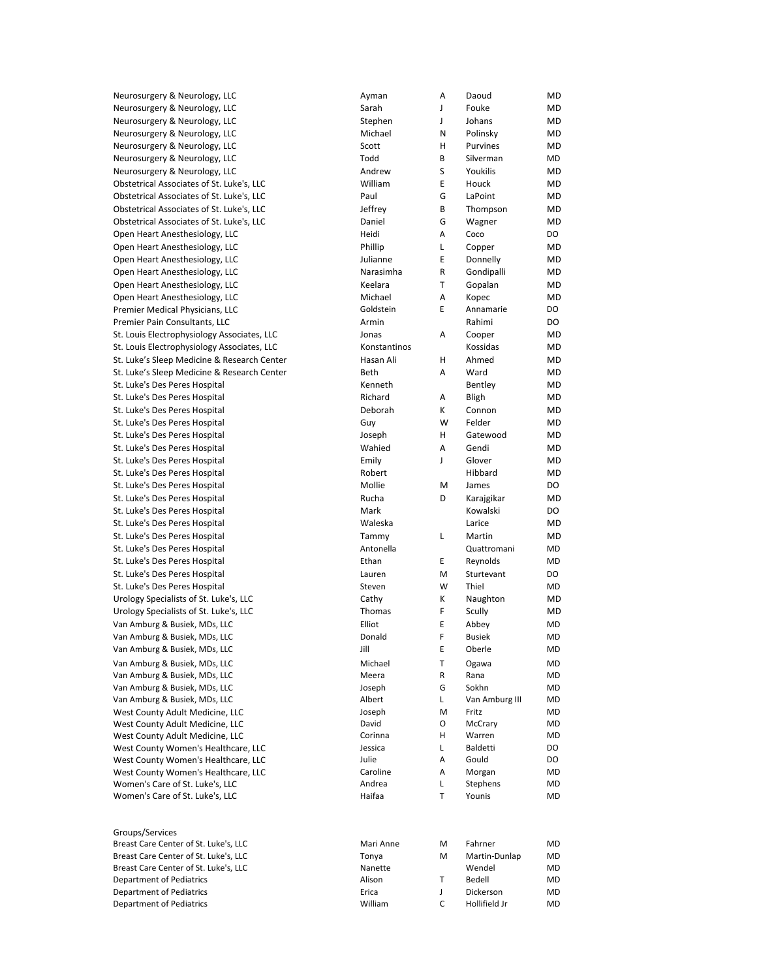Neurosurgery & Neurology, LLC Neurosurgery & Neurology, LLC Neurosurgery & Neurology, LLC Neurosurgery & Neurology, LLC Neurosurgery & Neurology, LLC Neurosurgery & Neurology, LLC Neurosurgery & Neurology, LLC Obstetrical Associates of St. Luke's, LLC Obstetrical Associates of St. Luke's, LLC Obstetrical Associates of St. Luke's, LLC Obstetrical Associates of St. Luke's, LLC Open Heart Anesthesiology, LLC Open Heart Anesthesiology, LLC Open Heart Anesthesiology, LLC Open Heart Anesthesiology, LLC Open Heart Anesthesiology, LLC Open Heart Anesthesiology, LLC Premier Medical Physicians, LLC Premier Pain Consultants, LLC St. Louis Electrophysiology Associates, LLC St. Louis Electrophysiology Associates, LLC St. Luke's Sleep Medicine & Research Center St. Luke's Sleep Medicine & Research Center St. Luke's Des Peres Hospital St. Luke's Des Peres Hospital St. Luke's Des Peres Hospital St. Luke's Des Peres Hospital St. Luke's Des Peres Hospital St. Luke's Des Peres Hospital St. Luke's Des Peres Hospital St. Luke's Des Peres Hospital St. Luke's Des Peres Hospital St. Luke's Des Peres Hospital St. Luke's Des Peres Hospital St. Luke's Des Peres Hospital St. Luke's Des Peres Hospital St. Luke's Des Peres Hospital St. Luke's Des Peres Hospital St. Luke's Des Peres Hospital St. Luke's Des Peres Hospital Urology Specialists of St. Luke's, LLC Urology Specialists of St. Luke's, LLC Van Amburg & Busiek, MDs, LLC Van Amburg & Busiek, MDs, LLC Van Amburg & Busiek, MDs, LLC Van Amburg & Busiek, MDs, LLC Van Amburg & Busiek, MDs, LLC Van Amburg & Busiek, MDs, LLC Van Amburg & Busiek, MDs, LLC West County Adult Medicine, LLC West County Adult Medicine, LLC West County Adult Medicine, LLC West County Women's Healthcare, LLC

| Ayman           | A      | Daoud                     | <b>MD</b> |
|-----------------|--------|---------------------------|-----------|
| Sarah           | J      | Fouke                     | MD        |
| Stephen         | J      | Johans                    | <b>MD</b> |
| Michael         | N      | Polinsky                  | <b>MD</b> |
| Scott           | н      | Purvines                  | <b>MD</b> |
| Todd            | B      | Silverman                 | <b>MD</b> |
| Andrew          | S      | Youkilis                  | <b>MD</b> |
| William         | E      | Houck                     | <b>MD</b> |
| Paul            | G      | LaPoint                   | <b>MD</b> |
|                 | B      |                           | <b>MD</b> |
| Jeffrey         |        | Thompson                  |           |
| Daniel          | G      | Wagner                    | <b>MD</b> |
| Heidi           | A      | Coco                      | DO        |
| Phillip         | L      | Copper                    | <b>MD</b> |
| Julianne        | E      | Donnelly                  | <b>MD</b> |
| Narasimha       | R      | Gondipalli                | <b>MD</b> |
| Keelara         | T      | Gopalan                   | <b>MD</b> |
| Michael         | A      | Kopec                     | <b>MD</b> |
| Goldstein       | E      | Annamarie                 | DO        |
| Armin           |        | Rahimi                    | DO        |
| Jonas           | А      | Cooper                    | <b>MD</b> |
| Konstantinos    |        | Kossidas                  | <b>MD</b> |
| Hasan Ali       | H      | Ahmed                     | <b>MD</b> |
| Beth            | A      | Ward                      | <b>MD</b> |
| Kenneth         |        | Bentley                   | <b>MD</b> |
| Richard         | А      | <b>Bligh</b>              | <b>MD</b> |
| Deborah         | К      | Connon                    | <b>MD</b> |
| Guy             | W      | Felder                    | <b>MD</b> |
| Joseph          | н      | Gatewood                  | <b>MD</b> |
| Wahied          | A      | Gendi                     | <b>MD</b> |
| Emily           | J      | Glover                    | <b>MD</b> |
| Robert          |        | Hibbard                   | MD        |
| Mollie          | м      | James                     | DO        |
| Rucha           | D      | Karajgikar                | <b>MD</b> |
| Mark            |        | Kowalski                  | DO        |
| Waleska         |        | Larice                    | <b>MD</b> |
| Tammy           | L      | Martin                    | <b>MD</b> |
| Antonella       |        | Quattromani               | MD        |
| Ethan           | E      | Reynolds                  | <b>MD</b> |
| Lauren          | M      | Sturtevant                | DO        |
| Steven          | W      | Thiel                     | <b>MD</b> |
| Cathy           | K      | Naughton                  | <b>MD</b> |
| <b>Thomas</b>   | F      | Scully                    | <b>MD</b> |
| Elliot          | E      | Abbey                     | MD        |
| Donald          | F      | <b>Busiek</b>             | <b>MD</b> |
| Jill            | E      | Oberle                    | MD        |
|                 |        |                           |           |
| Michael         | T      | Ogawa                     | <b>MD</b> |
| Meera           | R      | Rana                      | MD        |
| Joseph          | G      | Sokhn                     | MD        |
| Albert          | L      | Van Amburg III            | <b>MD</b> |
| Joseph<br>David | M      | Fritz                     | <b>MD</b> |
| Corinna         | O      | McCrary                   | MD        |
| Jessica         | н<br>Г | Warren<br><b>Baldetti</b> | MD<br>DO  |
| Julie           | Α      | Gould                     | DO        |
| Caroline        | A      | Morgan                    | <b>MD</b> |
| Andrea          | Г      | Stephens                  | MD        |
| Haifaa          | Τ      | Younis                    | MD        |
|                 |        |                           |           |

West County Women's Healthcare, LLC West County Women's Healthcare, LLC Women's Care of St. Luke's, LLC Women's Care of St. Luke's, LLC

Groups/Services Breast Care Center of St. Luke's, LLC Breast Care Center of St. Luke's, LLC Breast Care Center of St. Luke's, LLC Department of Pediatrics Department of Pediatrics Department of Pediatrics

| Mari Anne | м | Fahrner       | MD |
|-----------|---|---------------|----|
| Tonya     | м | Martin-Dunlap | MD |
| Nanette   |   | Wendel        | MD |
| Alison    | т | Bedell        | MD |
| Erica     |   | Dickerson     | MD |
| William   | C | Hollifield Jr | MD |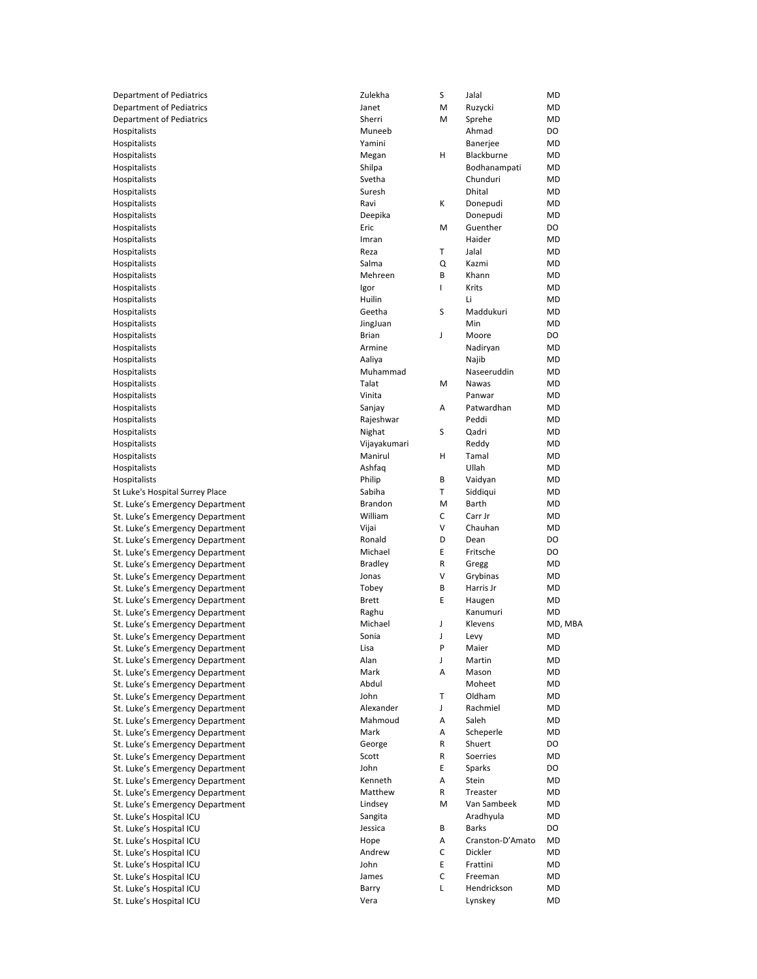| <b>Department of Pediatrics</b>                                    | Zulekha            | S                         | Jalal            | <b>MD</b> |
|--------------------------------------------------------------------|--------------------|---------------------------|------------------|-----------|
| <b>Department of Pediatrics</b>                                    | Janet              | M                         | Ruzycki          | <b>MD</b> |
| <b>Department of Pediatrics</b>                                    | Sherri             | M                         | Sprehe           | <b>MD</b> |
| Hospitalists                                                       | Muneeb             |                           | Ahmad            | DO        |
| Hospitalists                                                       | Yamini             |                           | Banerjee         | <b>MD</b> |
| Hospitalists                                                       | Megan              | Η                         | Blackburne       | <b>MD</b> |
| Hospitalists                                                       | Shilpa             |                           | Bodhanampati     | <b>MD</b> |
| Hospitalists                                                       | Svetha             |                           | Chunduri         | <b>MD</b> |
| Hospitalists                                                       | Suresh             |                           | <b>Dhital</b>    | <b>MD</b> |
| Hospitalists                                                       | Ravi               | К                         | Donepudi         | <b>MD</b> |
| Hospitalists                                                       | Deepika            |                           | Donepudi         | <b>MD</b> |
| Hospitalists                                                       | Eric               | M                         | Guenther         | <b>DO</b> |
| Hospitalists                                                       | Imran              |                           | Haider           | <b>MD</b> |
| Hospitalists                                                       | Reza               | Τ                         | Jalal            | <b>MD</b> |
| Hospitalists                                                       | Salma              | Q                         | Kazmi            | <b>MD</b> |
| Hospitalists                                                       | Mehreen            | В                         | Khann            | <b>MD</b> |
| Hospitalists                                                       | Igor               | I                         | Krits            | <b>MD</b> |
| Hospitalists                                                       | Huilin             |                           | Li               | <b>MD</b> |
| Hospitalists                                                       | Geetha             | S                         | Maddukuri        | <b>MD</b> |
| Hospitalists                                                       | JingJuan           |                           | Min              | <b>MD</b> |
| Hospitalists                                                       | <b>Brian</b>       | J                         | Moore            | <b>DO</b> |
| Hospitalists                                                       | Armine             |                           | Nadiryan         | <b>MD</b> |
| Hospitalists                                                       | Aaliya             |                           | Najib            | <b>MD</b> |
| Hospitalists                                                       | Muhammad           |                           | Naseeruddin      | <b>MD</b> |
| Hospitalists                                                       | Talat              | M                         | Nawas            | <b>MD</b> |
| Hospitalists                                                       | Vinita             |                           | Panwar           | <b>MD</b> |
| Hospitalists                                                       | Sanjay             | Α                         | Patwardhan       | <b>MD</b> |
| Hospitalists                                                       | Rajeshwar          |                           | Peddi            | MD        |
| Hospitalists                                                       | Nighat             | S                         | Qadri            | <b>MD</b> |
| Hospitalists                                                       | Vijayakumari       |                           | Reddy            | <b>MD</b> |
| Hospitalists                                                       | Manirul            | $\boldsymbol{\mathsf{H}}$ | Tamal            | <b>MD</b> |
| Hospitalists                                                       | Ashfaq             |                           | Ullah            | <b>MD</b> |
| Hospitalists                                                       | Philip             | В                         | Vaidyan          | <b>MD</b> |
| St Luke's Hospital Surrey Place                                    | Sabiha             | Τ                         | Siddiqui         | <b>MD</b> |
| St. Luke's Emergency Department                                    | <b>Brandon</b>     | M                         | <b>Barth</b>     | <b>MD</b> |
| St. Luke's Emergency Department                                    | William            | C                         | Carr Jr          | <b>MD</b> |
| St. Luke's Emergency Department                                    | Vijai              | ٧                         | Chauhan          | <b>MD</b> |
| St. Luke's Emergency Department                                    | Ronald             | D                         | Dean             | DO        |
| St. Luke's Emergency Department                                    | Michael            | E                         | Fritsche         | DO        |
| St. Luke's Emergency Department                                    | <b>Bradley</b>     | R                         | Gregg            | <b>MD</b> |
| St. Luke's Emergency Department                                    | Jonas              | ٧                         | Grybinas         | <b>MD</b> |
| St. Luke's Emergency Department                                    | Tobey              |                           | Harris Jr        | <b>MD</b> |
| St. Luke's Emergency Department                                    |                    | В                         |                  |           |
|                                                                    | <b>Brett</b>       | E                         | Haugen           | <b>MD</b> |
| St. Luke's Emergency Department                                    | Raghu              |                           | Kanumuri         | <b>MD</b> |
| St. Luke's Emergency Department                                    | Michael            | J                         | Klevens          | MD, MBA   |
|                                                                    | Sonia              | J                         | Levy             | <b>MD</b> |
| St. Luke's Emergency Department<br>St. Luke's Emergency Department | Lisa               | P                         | Maier            | <b>MD</b> |
|                                                                    | Alan               | J                         | Martin           | <b>MD</b> |
| St. Luke's Emergency Department<br>St. Luke's Emergency Department | Mark               | Α                         | Mason            | <b>MD</b> |
| St. Luke's Emergency Department                                    | Abdul              |                           | Moheet           | <b>MD</b> |
| St. Luke's Emergency Department                                    | John               | Τ                         | Oldham           | <b>MD</b> |
| St. Luke's Emergency Department                                    | Alexander          | J                         | Rachmiel         | <b>MD</b> |
| St. Luke's Emergency Department                                    | Mahmoud            | Α                         | Saleh            | <b>MD</b> |
| St. Luke's Emergency Department                                    | Mark               | A                         | Scheperle        | <b>MD</b> |
| St. Luke's Emergency Department                                    | George             | R                         | Shuert           | <b>DO</b> |
| St. Luke's Emergency Department                                    | Scott              | R                         | Soerries         | <b>MD</b> |
|                                                                    | John               | E                         | Sparks           | DO        |
| St. Luke's Emergency Department                                    | Kenneth            | Α                         | Stein            | <b>MD</b> |
| St. Luke's Emergency Department                                    | Matthew            | R                         | Treaster         | <b>MD</b> |
| St. Luke's Emergency Department<br>St. Luke's Emergency Department | Lindsey            | M                         | Van Sambeek      | <b>MD</b> |
|                                                                    |                    |                           | Aradhyula        | <b>MD</b> |
| St. Luke's Hospital ICU                                            | Sangita<br>Jessica | В                         | <b>Barks</b>     | DO        |
| St. Luke's Hospital ICU                                            | Hope               | Α                         | Cranston-D'Amato | <b>MD</b> |
| St. Luke's Hospital ICU                                            | Andrew             | С                         | Dickler          | <b>MD</b> |
| St. Luke's Hospital ICU                                            | John               | E                         | Frattini         | <b>MD</b> |
| St. Luke's Hospital ICU                                            | James              | C                         | Freeman          | <b>MD</b> |
| St. Luke's Hospital ICU<br>St. Luke's Hospital ICU                 | Barry              | L                         | Hendrickson      | <b>MD</b> |

St. Luke's Hospital ICU